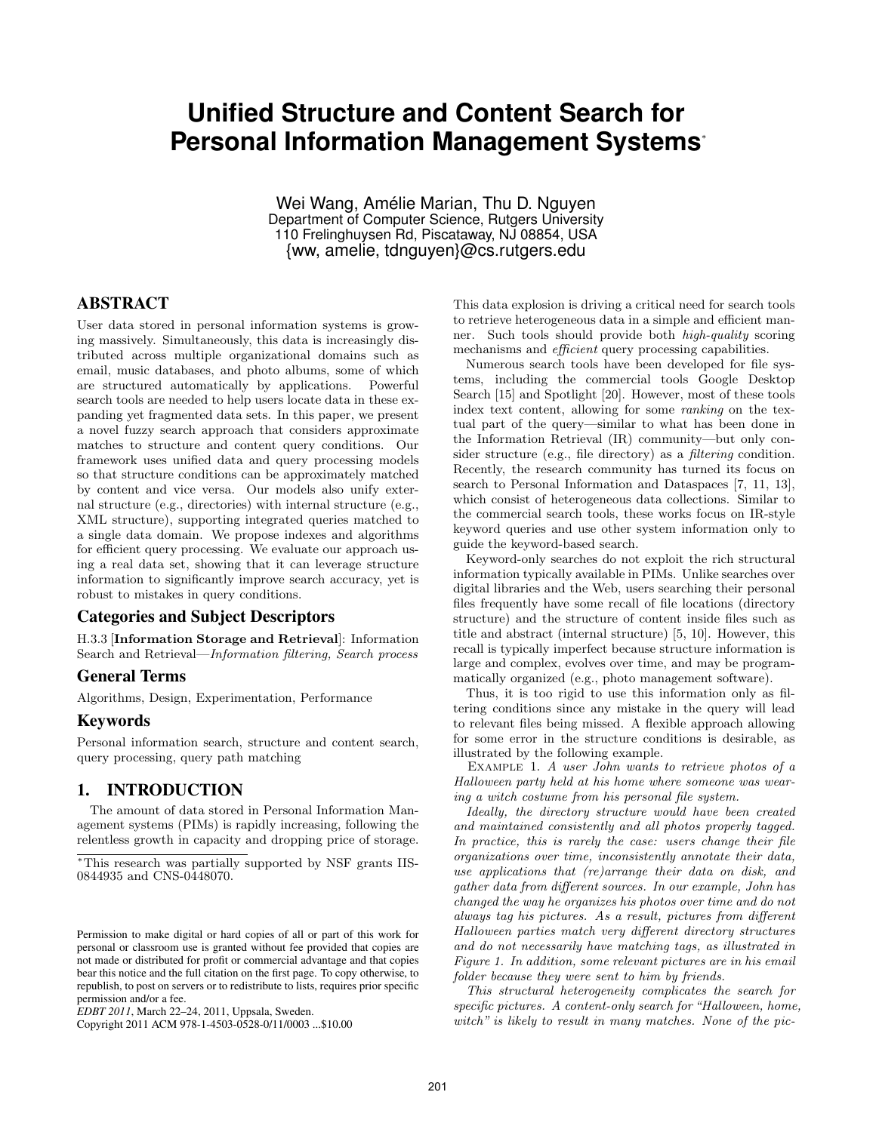# **Unified Structure and Content Search for Personal Information Management Systems**<sup>∗</sup>

Wei Wang, Amélie Marian, Thu D. Nauven Department of Computer Science, Rutgers University 110 Frelinghuysen Rd, Piscataway, NJ 08854, USA {ww, amelie, tdnguyen}@cs.rutgers.edu

# ABSTRACT

User data stored in personal information systems is growing massively. Simultaneously, this data is increasingly distributed across multiple organizational domains such as email, music databases, and photo albums, some of which are structured automatically by applications. Powerful search tools are needed to help users locate data in these expanding yet fragmented data sets. In this paper, we present a novel fuzzy search approach that considers approximate matches to structure and content query conditions. Our framework uses unified data and query processing models so that structure conditions can be approximately matched by content and vice versa. Our models also unify external structure (e.g., directories) with internal structure (e.g., XML structure), supporting integrated queries matched to a single data domain. We propose indexes and algorithms for efficient query processing. We evaluate our approach using a real data set, showing that it can leverage structure information to significantly improve search accuracy, yet is robust to mistakes in query conditions.

### Categories and Subject Descriptors

H.3.3 [Information Storage and Retrieval]: Information Search and Retrieval—Information filtering, Search process

# General Terms

Algorithms, Design, Experimentation, Performance

# Keywords

Personal information search, structure and content search, query processing, query path matching

# 1. INTRODUCTION

The amount of data stored in Personal Information Management systems (PIMs) is rapidly increasing, following the relentless growth in capacity and dropping price of storage.

Copyright 2011 ACM 978-1-4503-0528-0/11/0003 ...\$10.00

This data explosion is driving a critical need for search tools to retrieve heterogeneous data in a simple and efficient manner. Such tools should provide both high-quality scoring mechanisms and *efficient* query processing capabilities.

Numerous search tools have been developed for file systems, including the commercial tools Google Desktop Search [15] and Spotlight [20]. However, most of these tools index text content, allowing for some ranking on the textual part of the query—similar to what has been done in the Information Retrieval (IR) community—but only consider structure (e.g., file directory) as a filtering condition. Recently, the research community has turned its focus on search to Personal Information and Dataspaces [7, 11, 13], which consist of heterogeneous data collections. Similar to the commercial search tools, these works focus on IR-style keyword queries and use other system information only to guide the keyword-based search.

Keyword-only searches do not exploit the rich structural information typically available in PIMs. Unlike searches over digital libraries and the Web, users searching their personal files frequently have some recall of file locations (directory structure) and the structure of content inside files such as title and abstract (internal structure) [5, 10]. However, this recall is typically imperfect because structure information is large and complex, evolves over time, and may be programmatically organized (e.g., photo management software).

Thus, it is too rigid to use this information only as filtering conditions since any mistake in the query will lead to relevant files being missed. A flexible approach allowing for some error in the structure conditions is desirable, as illustrated by the following example.

EXAMPLE 1. A user John wants to retrieve photos of a Halloween party held at his home where someone was wearing a witch costume from his personal file system.

Ideally, the directory structure would have been created and maintained consistently and all photos properly tagged. In practice, this is rarely the case: users change their file organizations over time, inconsistently annotate their data, use applications that (re)arrange their data on disk, and gather data from different sources. In our example, John has changed the way he organizes his photos over time and do not always tag his pictures. As a result, pictures from different Halloween parties match very different directory structures and do not necessarily have matching tags, as illustrated in Figure 1. In addition, some relevant pictures are in his email folder because they were sent to him by friends.

This structural heterogeneity complicates the search for specific pictures. A content-only search for "Halloween, home, witch" is likely to result in many matches. None of the pic-

<sup>∗</sup>This research was partially supported by NSF grants IIS-0844935 and CNS-0448070.

Permission to make digital or hard copies of all or part of this work for personal or classroom use is granted without fee provided that copies are not made or distributed for profit or commercial advantage and that copies bear this notice and the full citation on the first page. To copy otherwise, to republish, to post on servers or to redistribute to lists, requires prior specific permission and/or a fee.

*EDBT 2011*, March 22–24, 2011, Uppsala, Sweden.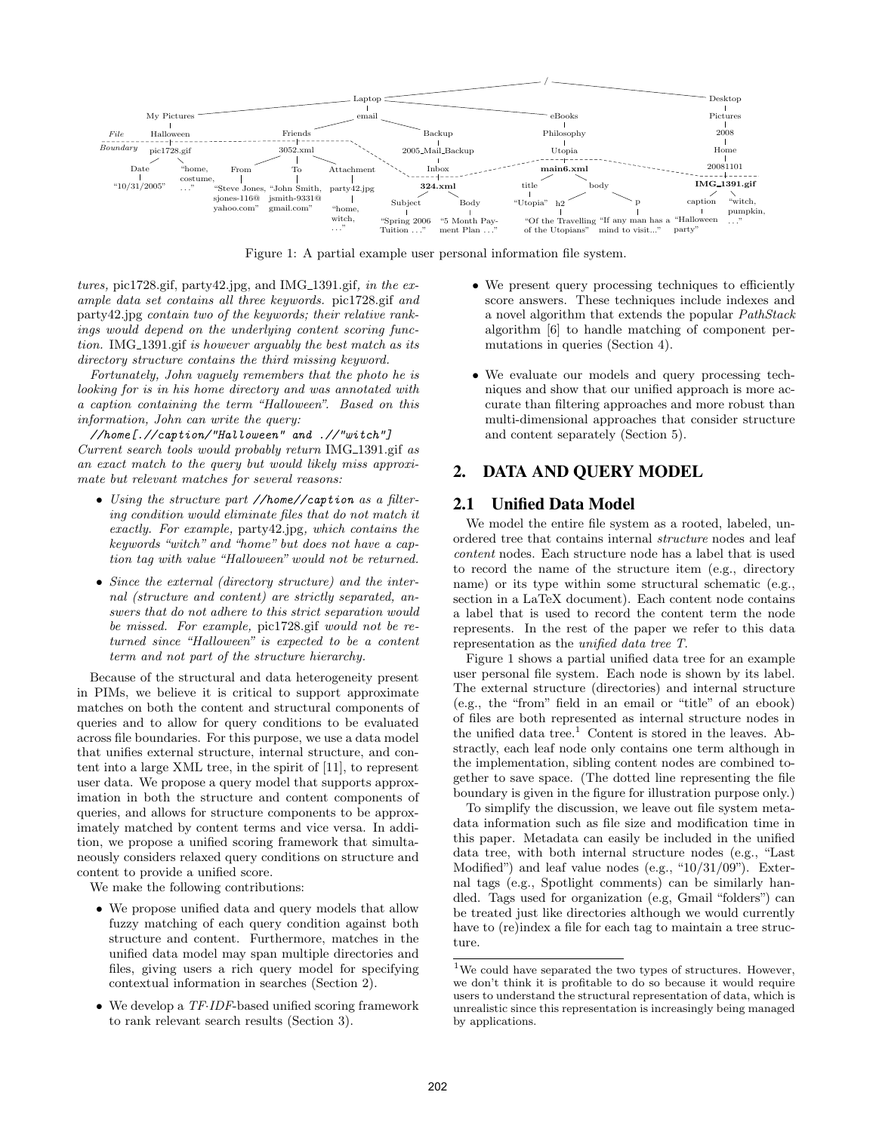

Figure 1: A partial example user personal information file system.

 $tures$ , pic1728.gif, party42.jpg, and IMG<sub>-1391.gif</sub>, in the example data set contains all three keywords. pic1728.gif and party42.jpg contain two of the keywords; their relative rankings would depend on the underlying content scoring function. IMG<sub>1391.gif</sub> is however arguably the best match as its directory structure contains the third missing keyword.

Fortunately, John vaguely remembers that the photo he is looking for is in his home directory and was annotated with a caption containing the term "Halloween". Based on this information, John can write the query:

//home[.//caption/"Halloween" and .//"witch"] Current search tools would probably return IMG\_1391.gif as an exact match to the query but would likely miss approximate but relevant matches for several reasons:

- Using the structure part //home//caption as a filtering condition would eliminate files that do not match it exactly. For example, party42.jpg, which contains the keywords "witch" and "home" but does not have a caption tag with value "Halloween" would not be returned.
- Since the external (directory structure) and the internal (structure and content) are strictly separated, answers that do not adhere to this strict separation would be missed. For example, pic1728.gif would not be returned since "Halloween" is expected to be a content term and not part of the structure hierarchy.

Because of the structural and data heterogeneity present in PIMs, we believe it is critical to support approximate matches on both the content and structural components of queries and to allow for query conditions to be evaluated across file boundaries. For this purpose, we use a data model that unifies external structure, internal structure, and content into a large XML tree, in the spirit of [11], to represent user data. We propose a query model that supports approximation in both the structure and content components of queries, and allows for structure components to be approximately matched by content terms and vice versa. In addition, we propose a unified scoring framework that simultaneously considers relaxed query conditions on structure and content to provide a unified score.

We make the following contributions:

- We propose unified data and query models that allow fuzzy matching of each query condition against both structure and content. Furthermore, matches in the unified data model may span multiple directories and files, giving users a rich query model for specifying contextual information in searches (Section 2).
- We develop a TF·IDF-based unified scoring framework to rank relevant search results (Section 3).
- We present query processing techniques to efficiently score answers. These techniques include indexes and a novel algorithm that extends the popular PathStack algorithm [6] to handle matching of component permutations in queries (Section 4).
- We evaluate our models and query processing techniques and show that our unified approach is more accurate than filtering approaches and more robust than multi-dimensional approaches that consider structure and content separately (Section 5).

# 2. DATA AND QUERY MODEL

### 2.1 Unified Data Model

We model the entire file system as a rooted, labeled, unordered tree that contains internal structure nodes and leaf content nodes. Each structure node has a label that is used to record the name of the structure item (e.g., directory name) or its type within some structural schematic (e.g., section in a LaTeX document). Each content node contains a label that is used to record the content term the node represents. In the rest of the paper we refer to this data representation as the unified data tree T.

Figure 1 shows a partial unified data tree for an example user personal file system. Each node is shown by its label. The external structure (directories) and internal structure (e.g., the "from" field in an email or "title" of an ebook) of files are both represented as internal structure nodes in the unified data tree.<sup>1</sup> Content is stored in the leaves. Abstractly, each leaf node only contains one term although in the implementation, sibling content nodes are combined together to save space. (The dotted line representing the file boundary is given in the figure for illustration purpose only.)

To simplify the discussion, we leave out file system metadata information such as file size and modification time in this paper. Metadata can easily be included in the unified data tree, with both internal structure nodes (e.g., "Last Modified") and leaf value nodes (e.g., "10/31/09"). External tags (e.g., Spotlight comments) can be similarly handled. Tags used for organization (e.g, Gmail "folders") can be treated just like directories although we would currently have to (re)index a file for each tag to maintain a tree structure.

 $1$ We could have separated the two types of structures. However, we don't think it is profitable to do so because it would require users to understand the structural representation of data, which is unrealistic since this representation is increasingly being managed by applications.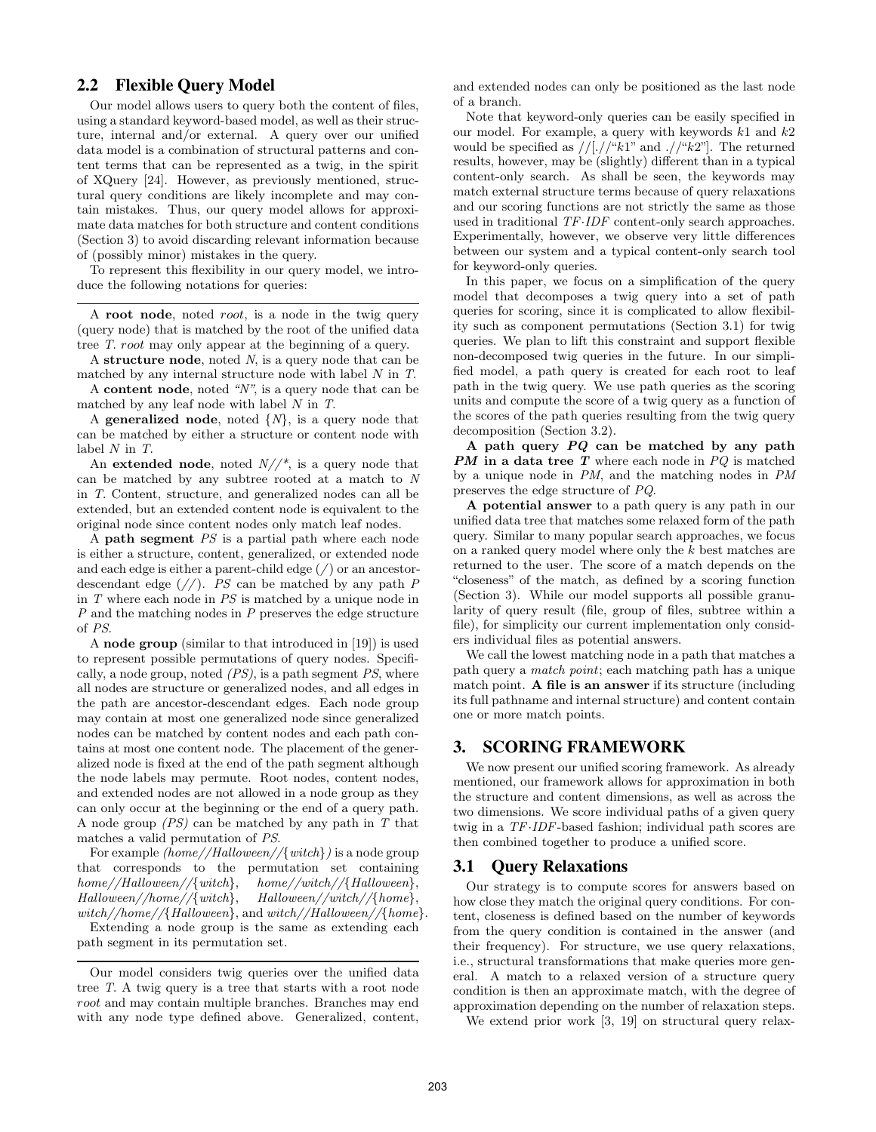# 2.2 Flexible Query Model

Our model allows users to query both the content of files, using a standard keyword-based model, as well as their structure, internal and/or external. A query over our unified data model is a combination of structural patterns and content terms that can be represented as a twig, in the spirit of XQuery [24]. However, as previously mentioned, structural query conditions are likely incomplete and may contain mistakes. Thus, our query model allows for approximate data matches for both structure and content conditions (Section 3) to avoid discarding relevant information because of (possibly minor) mistakes in the query.

To represent this flexibility in our query model, we introduce the following notations for queries:

A root node, noted root, is a node in the twig query (query node) that is matched by the root of the unified data tree T. root may only appear at the beginning of a query.

A structure node, noted N, is a query node that can be matched by any internal structure node with label N in T.

A **content node**, noted  $N$ <sup>n</sup>, is a query node that can be matched by any leaf node with label N in T.

A **generalized node**, noted  $\{N\}$ , is a query node that can be matched by either a structure or content node with label N in T.

An extended node, noted  $N//^*$ , is a query node that can be matched by any subtree rooted at a match to N in T. Content, structure, and generalized nodes can all be extended, but an extended content node is equivalent to the original node since content nodes only match leaf nodes.

A **path segment**  $PS$  is a partial path where each node is either a structure, content, generalized, or extended node and each edge is either a parent-child edge  $\left(\frac{\ }{\ }{\right})$  or an ancestordescendant edge  $\left(\frac{\ }{\ } \right)$ . *PS* can be matched by any path *P* in T where each node in PS is matched by a unique node in P and the matching nodes in P preserves the edge structure of PS.

A node group (similar to that introduced in [19]) is used to represent possible permutations of query nodes. Specifically, a node group, noted  $(PS)$ , is a path segment  $PS$ , where all nodes are structure or generalized nodes, and all edges in the path are ancestor-descendant edges. Each node group may contain at most one generalized node since generalized nodes can be matched by content nodes and each path contains at most one content node. The placement of the generalized node is fixed at the end of the path segment although the node labels may permute. Root nodes, content nodes, and extended nodes are not allowed in a node group as they can only occur at the beginning or the end of a query path. A node group  $(PS)$  can be matched by any path in  $T$  that matches a valid permutation of PS.

For example  $(home//Halloween//\{with\})$  is a node group that corresponds to the permutation set containing  $home//Halloween//{with}, \qquad home//with//Halloween},\ Halloween//home//{with}, \qquad Halloween//{thome}.$  $Halloween//home//{with},$ witch//home//{Halloween}, and witch//Halloween//{home}.

Extending a node group is the same as extending each path segment in its permutation set.

and extended nodes can only be positioned as the last node of a branch.

Note that keyword-only queries can be easily specified in our model. For example, a query with keywords  $k1$  and  $k2$ would be specified as  $//[.//``k1"$  and  $.//``k2"$ . The returned results, however, may be (slightly) different than in a typical content-only search. As shall be seen, the keywords may match external structure terms because of query relaxations and our scoring functions are not strictly the same as those used in traditional TF·IDF content-only search approaches. Experimentally, however, we observe very little differences between our system and a typical content-only search tool for keyword-only queries.

In this paper, we focus on a simplification of the query model that decomposes a twig query into a set of path queries for scoring, since it is complicated to allow flexibility such as component permutations (Section 3.1) for twig queries. We plan to lift this constraint and support flexible non-decomposed twig queries in the future. In our simplified model, a path query is created for each root to leaf path in the twig query. We use path queries as the scoring units and compute the score of a twig query as a function of the scores of the path queries resulting from the twig query decomposition (Section 3.2).

A path query PQ can be matched by any path **PM** in a data tree T where each node in  $PQ$  is matched by a unique node in PM, and the matching nodes in PM preserves the edge structure of PQ.

A potential answer to a path query is any path in our unified data tree that matches some relaxed form of the path query. Similar to many popular search approaches, we focus on a ranked query model where only the k best matches are returned to the user. The score of a match depends on the "closeness" of the match, as defined by a scoring function (Section 3). While our model supports all possible granularity of query result (file, group of files, subtree within a file), for simplicity our current implementation only considers individual files as potential answers.

We call the lowest matching node in a path that matches a path query a match point; each matching path has a unique match point. A file is an answer if its structure (including its full pathname and internal structure) and content contain one or more match points.

# 3. SCORING FRAMEWORK

We now present our unified scoring framework. As already mentioned, our framework allows for approximation in both the structure and content dimensions, as well as across the two dimensions. We score individual paths of a given query twig in a TF·IDF-based fashion; individual path scores are then combined together to produce a unified score.

### 3.1 Query Relaxations

Our strategy is to compute scores for answers based on how close they match the original query conditions. For content, closeness is defined based on the number of keywords from the query condition is contained in the answer (and their frequency). For structure, we use query relaxations, i.e., structural transformations that make queries more general. A match to a relaxed version of a structure query condition is then an approximate match, with the degree of approximation depending on the number of relaxation steps.

We extend prior work [3, 19] on structural query relax-

Our model considers twig queries over the unified data tree T. A twig query is a tree that starts with a root node root and may contain multiple branches. Branches may end with any node type defined above. Generalized, content,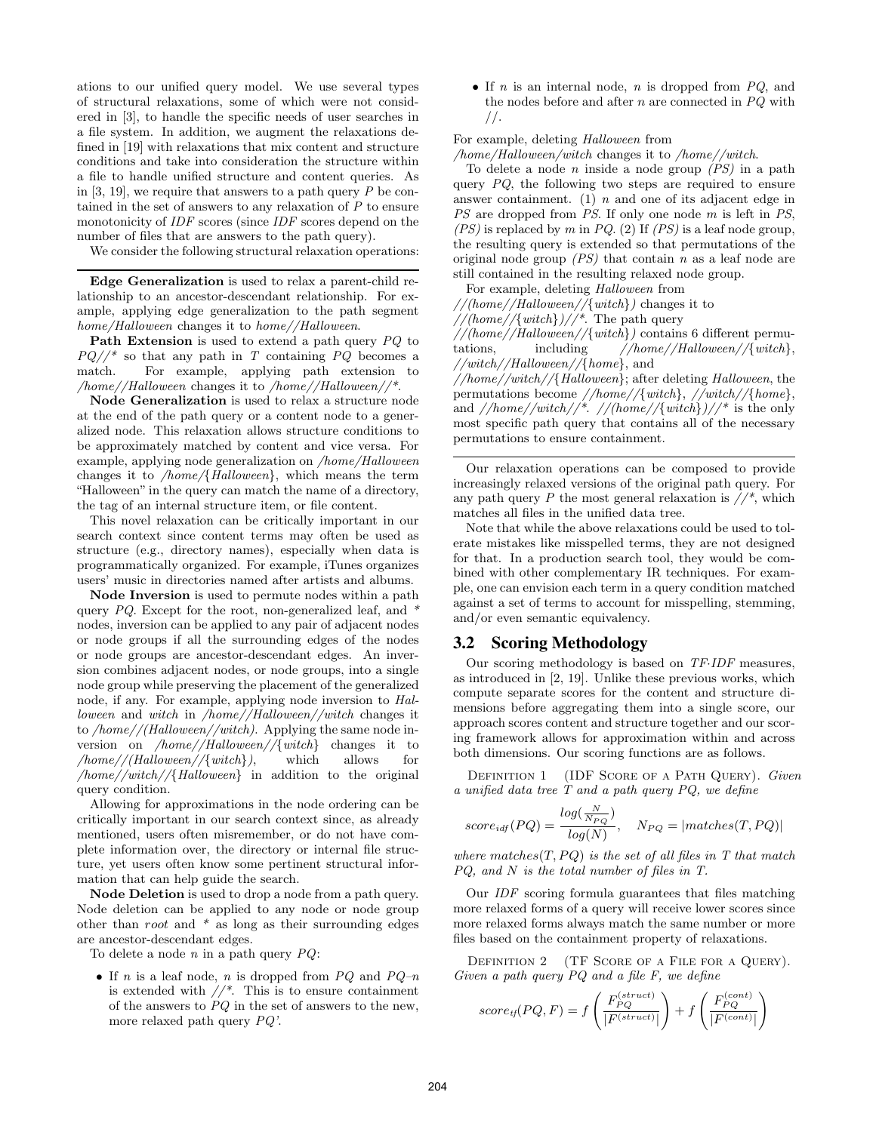ations to our unified query model. We use several types of structural relaxations, some of which were not considered in [3], to handle the specific needs of user searches in a file system. In addition, we augment the relaxations defined in [19] with relaxations that mix content and structure conditions and take into consideration the structure within a file to handle unified structure and content queries. As in [3, 19], we require that answers to a path query  $P$  be contained in the set of answers to any relaxation of  $P$  to ensure monotonicity of *IDF* scores (since *IDF* scores depend on the number of files that are answers to the path query).

We consider the following structural relaxation operations:

Edge Generalization is used to relax a parent-child relationship to an ancestor-descendant relationship. For example, applying edge generalization to the path segment home/Halloween changes it to home//Halloween.

Path Extension is used to extend a path query  $PQ$  to  $PQ//^*$  so that any path in T containing  $PQ$  becomes a match. For example, applying path extension to For example, applying path extension to /home//Halloween changes it to /home//Halloween//\*.

Node Generalization is used to relax a structure node at the end of the path query or a content node to a generalized node. This relaxation allows structure conditions to be approximately matched by content and vice versa. For example, applying node generalization on /home/Halloween changes it to /home/{Halloween}, which means the term "Halloween" in the query can match the name of a directory, the tag of an internal structure item, or file content.

This novel relaxation can be critically important in our search context since content terms may often be used as structure (e.g., directory names), especially when data is programmatically organized. For example, iTunes organizes users' music in directories named after artists and albums.

Node Inversion is used to permute nodes within a path query  $PQ$ . Except for the root, non-generalized leaf, and  $*$ nodes, inversion can be applied to any pair of adjacent nodes or node groups if all the surrounding edges of the nodes or node groups are ancestor-descendant edges. An inversion combines adjacent nodes, or node groups, into a single node group while preserving the placement of the generalized node, if any. For example, applying node inversion to Halloween and witch in /home//Halloween//witch changes it to /home//(Halloween//witch). Applying the same node inversion on /home//Halloween//{witch} changes it to  $\lq / home \lq / (Halloween / \{\text{witch}\}\rceil,$  which allows for /home//witch//{Halloween} in addition to the original query condition.

Allowing for approximations in the node ordering can be critically important in our search context since, as already mentioned, users often misremember, or do not have complete information over, the directory or internal file structure, yet users often know some pertinent structural information that can help guide the search.

Node Deletion is used to drop a node from a path query. Node deletion can be applied to any node or node group other than root and  $*$  as long as their surrounding edges are ancestor-descendant edges.

To delete a node  $n$  in a path query  $PQ$ :

• If n is a leaf node, n is dropped from  $PQ$  and  $PQ-n$ is extended with  $//^*$ . This is to ensure containment of the answers to  $PQ$  in the set of answers to the new, more relaxed path query PQ'.

• If  $n$  is an internal node,  $n$  is dropped from  $PQ$ , and the nodes before and after  $n$  are connected in  $PQ$  with //.

### For example, deleting Halloween from

/home/Halloween/witch changes it to /home//witch.

To delete a node n inside a node group  $(PS)$  in a path query  $PQ$ , the following two steps are required to ensure answer containment. (1)  $n$  and one of its adjacent edge in PS are dropped from PS. If only one node m is left in PS,  $(PS)$  is replaced by m in PQ. (2) If  $(PS)$  is a leaf node group, the resulting query is extended so that permutations of the original node group  $(PS)$  that contain n as a leaf node are still contained in the resulting relaxed node group.

For example, deleting Halloween from

//(home//Halloween//{witch}) changes it to

 $//(home//{with})//^*$ . The path query

 $//(home//Halloween//{switch})$  contains 6 different permutations. including  $//hom://Halloween//{switch}.$ tations, including  $//home//Halloween//{switch}.$ //witch//Halloween//{home}, and

//home//witch//{Halloween}; after deleting Halloween, the permutations become //home//{witch}, //witch//{home}, and  $//home//with//*.$  //(home//{witch})//\* is the only most specific path query that contains all of the necessary permutations to ensure containment.

Our relaxation operations can be composed to provide increasingly relaxed versions of the original path query. For any path query P the most general relaxation is  $//^*$ , which matches all files in the unified data tree.

Note that while the above relaxations could be used to tolerate mistakes like misspelled terms, they are not designed for that. In a production search tool, they would be combined with other complementary IR techniques. For example, one can envision each term in a query condition matched against a set of terms to account for misspelling, stemming, and/or even semantic equivalency.

### 3.2 Scoring Methodology

Our scoring methodology is based on TF·IDF measures, as introduced in [2, 19]. Unlike these previous works, which compute separate scores for the content and structure dimensions before aggregating them into a single score, our approach scores content and structure together and our scoring framework allows for approximation within and across both dimensions. Our scoring functions are as follows.

DEFINITION 1 (IDF SCORE OF A PATH QUERY). Given a unified data tree T and a path query PQ, we define

$$
score_{idf}(PQ) = \frac{log(\frac{N}{N_{PQ}})}{log(N)}, \quad N_{PQ} = |matches(T, PQ)|
$$

where matches $(T, PQ)$  is the set of all files in T that match PQ, and N is the total number of files in T.

Our IDF scoring formula guarantees that files matching more relaxed forms of a query will receive lower scores since more relaxed forms always match the same number or more files based on the containment property of relaxations.

DEFINITION 2 (TF SCORE OF A FILE FOR A QUERY). Given a path query PQ and a file F, we define

$$
score_{tf}(PQ, F) = f\left(\frac{F_{PQ}^{(struct)}}{|F^{(struct)}|}\right) + f\left(\frac{F_{PQ}^{(cont)}}{|F^{(cont)}|}\right)
$$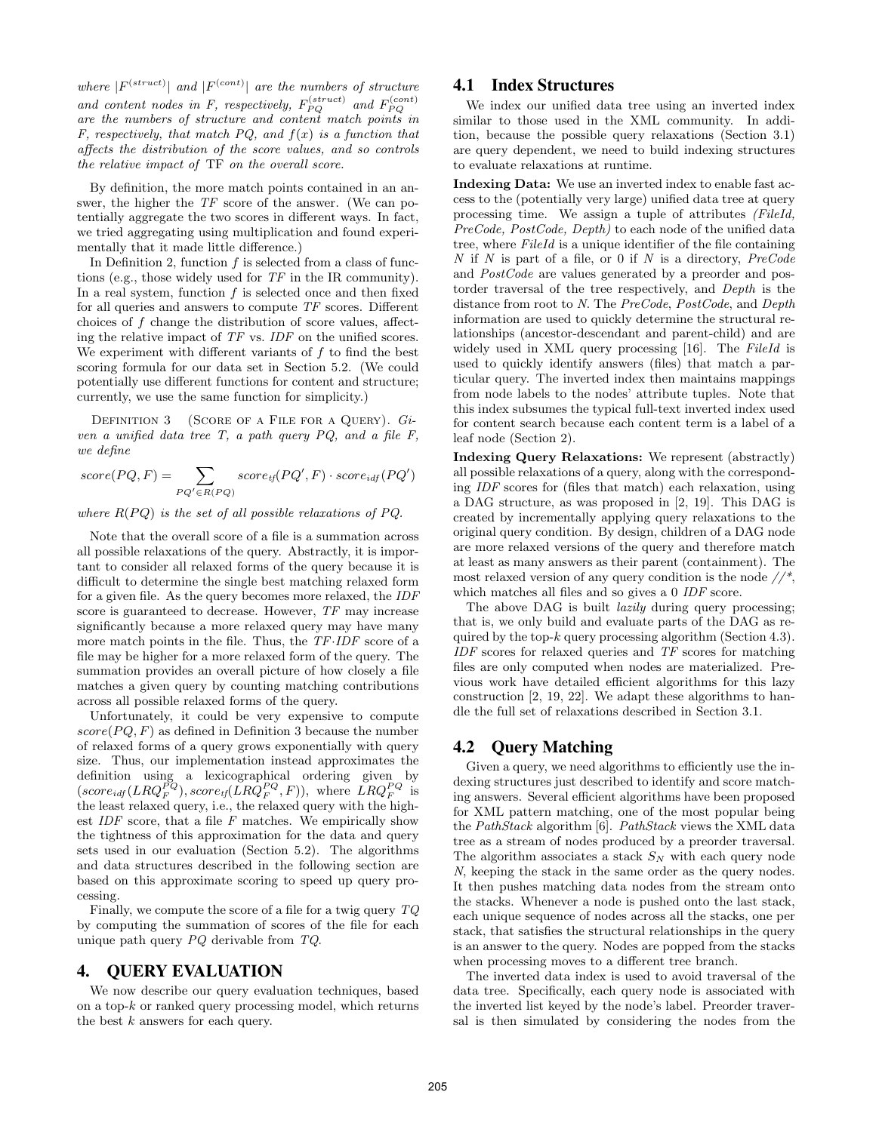where  $|F^{(struct)}|$  and  $|F^{(cont)}|$  are the numbers of structure and content nodes in F, respectively,  $F_{PQ}^{(struct)}$  and  $F_{PQ}^{(cont)}$ are the numbers of structure and content match points in F, respectively, that match PQ, and  $f(x)$  is a function that affects the distribution of the score values, and so controls the relative impact of TF on the overall score.

By definition, the more match points contained in an answer, the higher the TF score of the answer. (We can potentially aggregate the two scores in different ways. In fact, we tried aggregating using multiplication and found experimentally that it made little difference.)

In Definition 2, function  $f$  is selected from a class of functions (e.g., those widely used for TF in the IR community). In a real system, function  $f$  is selected once and then fixed for all queries and answers to compute TF scores. Different choices of  $f$  change the distribution of score values, affecting the relative impact of TF vs. IDF on the unified scores. We experiment with different variants of  $f$  to find the best scoring formula for our data set in Section 5.2. (We could potentially use different functions for content and structure; currently, we use the same function for simplicity.)

DEFINITION 3 (SCORE OF A FILE FOR A QUERY). Given a unified data tree T, a path query PQ, and a file F, we define

$$
score(PQ, F) = \sum_{PQ' \in R(PQ)} score_{tf}(PQ', F) \cdot score_{idf}(PQ')
$$

where  $R(PQ)$  is the set of all possible relaxations of PQ.

Note that the overall score of a file is a summation across all possible relaxations of the query. Abstractly, it is important to consider all relaxed forms of the query because it is difficult to determine the single best matching relaxed form for a given file. As the query becomes more relaxed, the IDF score is guaranteed to decrease. However, TF may increase significantly because a more relaxed query may have many more match points in the file. Thus, the  $TF$ -IDF score of a file may be higher for a more relaxed form of the query. The summation provides an overall picture of how closely a file matches a given query by counting matching contributions across all possible relaxed forms of the query.

Unfortunately, it could be very expensive to compute  $score(PQ, F)$  as defined in Definition 3 because the number of relaxed forms of a query grows exponentially with query size. Thus, our implementation instead approximates the definition using a lexicographical ordering given by  $(score_{idf}(LRQ_F^{PQ}), score_{tf}(LRQ_F^{PQ}, F)),$  where  $LRQ_F^{PQ}$  is the least relaxed query, i.e., the relaxed query with the highest  $IDF$  score, that a file  $F$  matches. We empirically show the tightness of this approximation for the data and query sets used in our evaluation (Section 5.2). The algorithms and data structures described in the following section are based on this approximate scoring to speed up query processing.

Finally, we compute the score of a file for a twig query TQ by computing the summation of scores of the file for each unique path query PQ derivable from TQ.

### 4. QUERY EVALUATION

We now describe our query evaluation techniques, based on a top- $k$  or ranked query processing model, which returns the best  $k$  answers for each query.

### 4.1 Index Structures

We index our unified data tree using an inverted index similar to those used in the XML community. In addition, because the possible query relaxations (Section 3.1) are query dependent, we need to build indexing structures to evaluate relaxations at runtime.

Indexing Data: We use an inverted index to enable fast access to the (potentially very large) unified data tree at query processing time. We assign a tuple of attributes (FileId, PreCode, PostCode, Depth) to each node of the unified data tree, where FileId is a unique identifier of the file containing  $N$  if  $N$  is part of a file, or 0 if  $N$  is a directory,  $PreCode$ and PostCode are values generated by a preorder and postorder traversal of the tree respectively, and Depth is the distance from root to N. The PreCode, PostCode, and Depth information are used to quickly determine the structural relationships (ancestor-descendant and parent-child) and are widely used in XML query processing [16]. The FileId is used to quickly identify answers (files) that match a particular query. The inverted index then maintains mappings from node labels to the nodes' attribute tuples. Note that this index subsumes the typical full-text inverted index used for content search because each content term is a label of a leaf node (Section 2).

Indexing Query Relaxations: We represent (abstractly) all possible relaxations of a query, along with the corresponding IDF scores for (files that match) each relaxation, using a DAG structure, as was proposed in [2, 19]. This DAG is created by incrementally applying query relaxations to the original query condition. By design, children of a DAG node are more relaxed versions of the query and therefore match at least as many answers as their parent (containment). The most relaxed version of any query condition is the node //\*, which matches all files and so gives a 0 IDF score.

The above DAG is built *lazily* during query processing; that is, we only build and evaluate parts of the DAG as required by the top- $k$  query processing algorithm (Section 4.3). IDF scores for relaxed queries and TF scores for matching files are only computed when nodes are materialized. Previous work have detailed efficient algorithms for this lazy construction [2, 19, 22]. We adapt these algorithms to handle the full set of relaxations described in Section 3.1.

### 4.2 Query Matching

Given a query, we need algorithms to efficiently use the indexing structures just described to identify and score matching answers. Several efficient algorithms have been proposed for XML pattern matching, one of the most popular being the PathStack algorithm [6]. PathStack views the XML data tree as a stream of nodes produced by a preorder traversal. The algorithm associates a stack  $S_N$  with each query node N, keeping the stack in the same order as the query nodes. It then pushes matching data nodes from the stream onto the stacks. Whenever a node is pushed onto the last stack, each unique sequence of nodes across all the stacks, one per stack, that satisfies the structural relationships in the query is an answer to the query. Nodes are popped from the stacks when processing moves to a different tree branch.

The inverted data index is used to avoid traversal of the data tree. Specifically, each query node is associated with the inverted list keyed by the node's label. Preorder traversal is then simulated by considering the nodes from the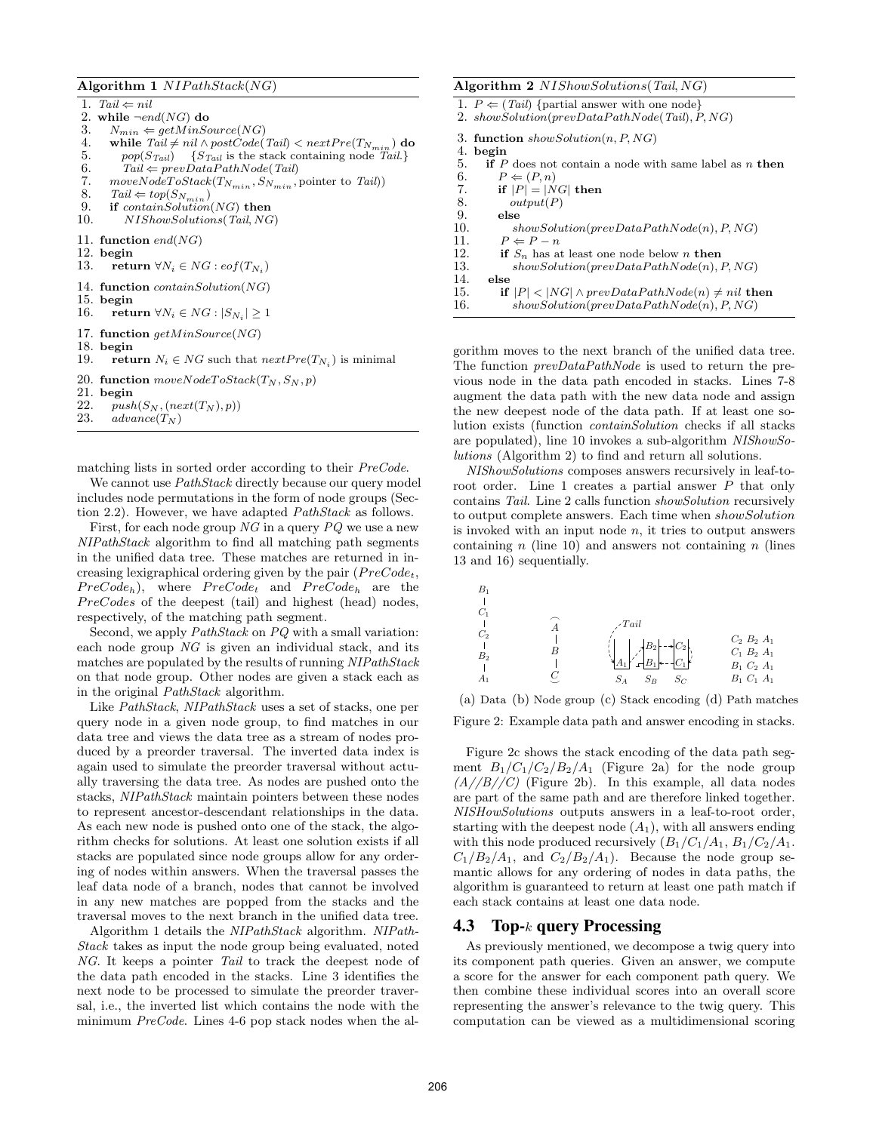#### Algorithm 1  $NIPathStack(NG)$

1. Tail  $\Leftarrow$  nil 2. while  $\neg end(NG)$  do 3.  $N_{min} \Leftarrow getMinSource(NG)$ <br>4. while  $Tail \neq nil \wedge postCode($ 4. while  $Tail \neq nil \land postCode(Tail) < nextPre(T_{N_{min}})$  do<br>5. non $(S_{Tail}) = \{S_{Tail} \text{ is the stack containing node } Tail\}$ 5. pop( $S_{Tail}$ ) { $S_{Tail}$  is the stack containing node  $Tail$ }<br>6. Tail  $\Leftarrow$  prevDataPathNode(Tail) 6. Tail  $\Leftarrow$  prevDataPathNode(Tail)<br>7. moveNodeToStack(T<sub>Nmin</sub>, S<sub>Nmin</sub>) 7. moveN odeT oStack $(T_{N_{min}}, S_{N_{min}})$  pointer to Tail))<br>8. Tail  $\Leftarrow$  top( $S_N$ ) 8. Tail  $\Leftarrow top(S_{N_{min}})$ <br>9. **if** contain Solution 9. if  $containSolution(NG)$  then<br>10.  $NIS howSolutions(Tail, NG)$ 10. NIShowSolutions(Tail, NG) 11. function  $end(NG)$  $12.$  begin  $13.$  retu 13. return  $\forall N_i \in NG : eof(T_{N_i})$ 14. function containSolution(NG) 15. begin<br>16. retu 16. return  $\forall N_i \in NG : |S_{N_i}| \geq 1$ 17. function  $getMinSource(NG)$ 18. begin 19. return  $N_i \in NG$  such that  $nextPre(T_{N_i})$  is minimal 20. function  $moveNodeToStack(T_N, S_N, p)$ 21. begin<br>22.  $mush$ 22.  $push(S_N, (next(T_N), p))$ <br>23.  $advance(T_N)$  $advance(T_N)$ 

matching lists in sorted order according to their PreCode.

We cannot use  $PathStack$  directly because our query model includes node permutations in the form of node groups (Section 2.2). However, we have adapted PathStack as follows.

First, for each node group  $NG$  in a query  $PQ$  we use a new NIPathStack algorithm to find all matching path segments in the unified data tree. These matches are returned in increasing lexigraphical ordering given by the pair  $(PreCode_t,$  $PreCode_h$ ), where  $PreCode_t$  and  $PreCode_h$  are the  $PreCodes$  of the deepest (tail) and highest (head) nodes, respectively, of the matching path segment.

Second, we apply *PathStack* on *PQ* with a small variation: each node group NG is given an individual stack, and its matches are populated by the results of running NIPathStack on that node group. Other nodes are given a stack each as in the original PathStack algorithm.

Like PathStack, NIPathStack uses a set of stacks, one per query node in a given node group, to find matches in our data tree and views the data tree as a stream of nodes produced by a preorder traversal. The inverted data index is again used to simulate the preorder traversal without actually traversing the data tree. As nodes are pushed onto the stacks, NIPathStack maintain pointers between these nodes to represent ancestor-descendant relationships in the data. As each new node is pushed onto one of the stack, the algorithm checks for solutions. At least one solution exists if all stacks are populated since node groups allow for any ordering of nodes within answers. When the traversal passes the leaf data node of a branch, nodes that cannot be involved in any new matches are popped from the stacks and the traversal moves to the next branch in the unified data tree.

Algorithm 1 details the NIPathStack algorithm. NIPath-Stack takes as input the node group being evaluated, noted NG. It keeps a pointer Tail to track the deepest node of the data path encoded in the stacks. Line 3 identifies the next node to be processed to simulate the preorder traversal, i.e., the inverted list which contains the node with the minimum PreCode. Lines 4-6 pop stack nodes when the al-

#### Algorithm 2 NIShowSolutions(Tail, NG)

|     | 1. $P \leftarrow (Tail)$ {partial answer with one node}<br>2. showSolution( $prevDataPathNode(Tail), P, NG)$ |
|-----|--------------------------------------------------------------------------------------------------------------|
|     |                                                                                                              |
|     | 3. function $showSolution(n, P, NG)$                                                                         |
| 4.  | begin                                                                                                        |
| 5.  | <b>if</b> P does not contain a node with same label as n then                                                |
| 6.  | $P \Leftarrow (P, n)$                                                                                        |
| 7.  | if $ P  =  NG $ then                                                                                         |
| 8.  | output(P)                                                                                                    |
| 9.  | else                                                                                                         |
| 10. | $showSolution(prevDataPathNode(n), P, NG)$                                                                   |
| 11. | $P \Leftarrow P - n$                                                                                         |
| 12. | <b>if</b> $S_n$ has at least one node below n then                                                           |
| 13. | $showSolution(prevDataPathNode(n), P, NG)$                                                                   |
| 14. | else                                                                                                         |
| 15. | if $ P  <  NG  \wedge prevDataPathNode(n) \neq nil$ then                                                     |
| 16. | $showSolution(prevDataPathNode(n), P, NG)$                                                                   |

gorithm moves to the next branch of the unified data tree. The function  $prevDataPathNode$  is used to return the previous node in the data path encoded in stacks. Lines 7-8 augment the data path with the new data node and assign the new deepest node of the data path. If at least one solution exists (function containSolution checks if all stacks are populated), line 10 invokes a sub-algorithm NIShowSolutions (Algorithm 2) to find and return all solutions.

NIShowSolutions composes answers recursively in leaf-toroot order. Line 1 creates a partial answer P that only contains Tail. Line 2 calls function showSolution recursively to output complete answers. Each time when showSolution is invoked with an input node  $n$ , it tries to output answers containing n (line 10) and answers not containing n (lines 13 and 16) sequentially.

| $B_1$<br>$C_1$          | $\angle Tail$                                                 |                                                                          |
|-------------------------|---------------------------------------------------------------|--------------------------------------------------------------------------|
| $C_2$<br>B <sub>2</sub> | $\mathcal{A}^{B_2}$ $\mathcal{A}^{C_2}$<br>$S_{C}$<br>$S_{B}$ | $C_2 B_2 A_1$<br>$C_1 B_2 A_1$<br>$B_1$ $C_2$ $A_1$<br>$B_1$ $C_1$ $A_1$ |

(a) Data (b) Node group (c) Stack encoding (d) Path matches Figure 2: Example data path and answer encoding in stacks.

Figure 2c shows the stack encoding of the data path segment  $B_1/C_1/C_2/B_2/A_1$  (Figure 2a) for the node group  $(A//B//C)$  (Figure 2b). In this example, all data nodes are part of the same path and are therefore linked together. NISHowSolutions outputs answers in a leaf-to-root order, starting with the deepest node  $(A_1)$ , with all answers ending with this node produced recursively  $(B_1/C_1/A_1, B_1/C_2/A_1$ .  $C_1/B_2/A_1$ , and  $C_2/B_2/A_1$ ). Because the node group semantic allows for any ordering of nodes in data paths, the algorithm is guaranteed to return at least one path match if each stack contains at least one data node.

### 4.3 Top-k query Processing

As previously mentioned, we decompose a twig query into its component path queries. Given an answer, we compute a score for the answer for each component path query. We then combine these individual scores into an overall score representing the answer's relevance to the twig query. This computation can be viewed as a multidimensional scoring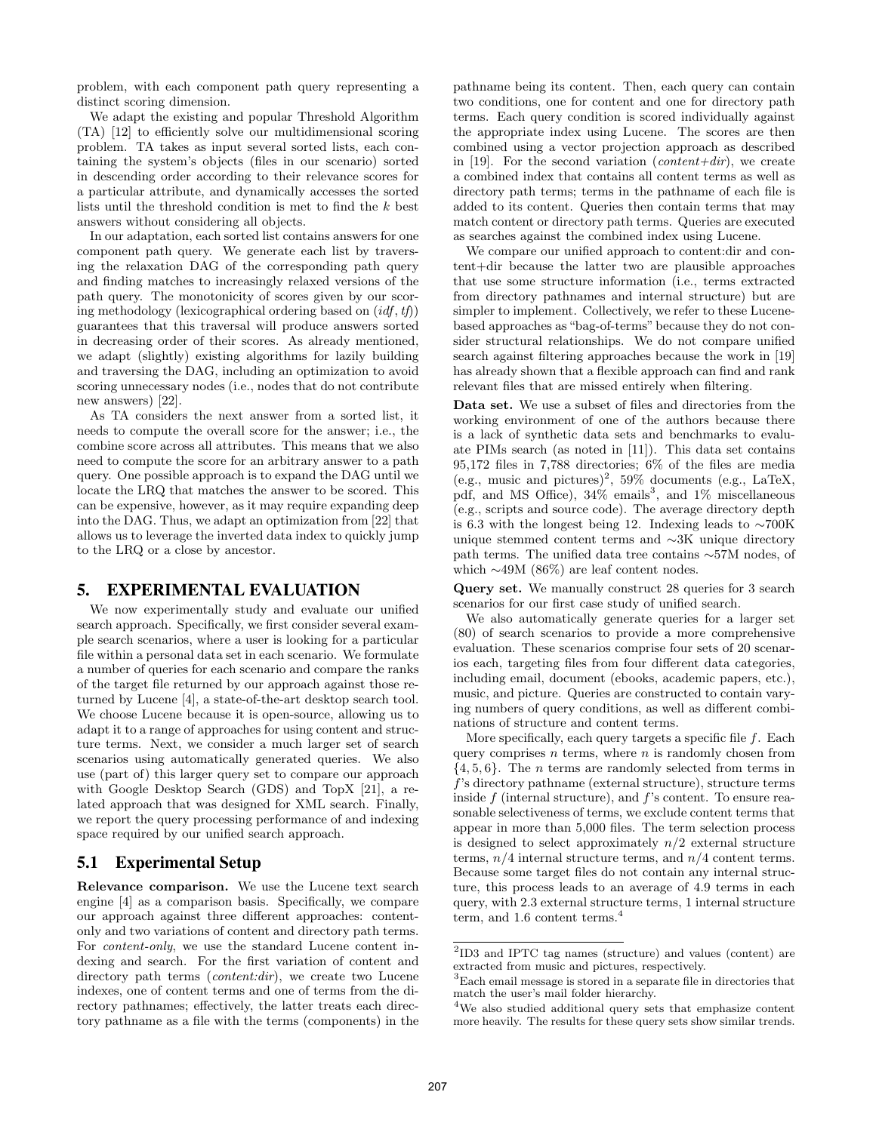problem, with each component path query representing a distinct scoring dimension.

We adapt the existing and popular Threshold Algorithm (TA) [12] to efficiently solve our multidimensional scoring problem. TA takes as input several sorted lists, each containing the system's objects (files in our scenario) sorted in descending order according to their relevance scores for a particular attribute, and dynamically accesses the sorted lists until the threshold condition is met to find the k best answers without considering all objects.

In our adaptation, each sorted list contains answers for one component path query. We generate each list by traversing the relaxation DAG of the corresponding path query and finding matches to increasingly relaxed versions of the path query. The monotonicity of scores given by our scoring methodology (lexicographical ordering based on  $(idf, tf)$ ) guarantees that this traversal will produce answers sorted in decreasing order of their scores. As already mentioned, we adapt (slightly) existing algorithms for lazily building and traversing the DAG, including an optimization to avoid scoring unnecessary nodes (i.e., nodes that do not contribute new answers) [22].

As TA considers the next answer from a sorted list, it needs to compute the overall score for the answer; i.e., the combine score across all attributes. This means that we also need to compute the score for an arbitrary answer to a path query. One possible approach is to expand the DAG until we locate the LRQ that matches the answer to be scored. This can be expensive, however, as it may require expanding deep into the DAG. Thus, we adapt an optimization from [22] that allows us to leverage the inverted data index to quickly jump to the LRQ or a close by ancestor.

### 5. EXPERIMENTAL EVALUATION

We now experimentally study and evaluate our unified search approach. Specifically, we first consider several example search scenarios, where a user is looking for a particular file within a personal data set in each scenario. We formulate a number of queries for each scenario and compare the ranks of the target file returned by our approach against those returned by Lucene [4], a state-of-the-art desktop search tool. We choose Lucene because it is open-source, allowing us to adapt it to a range of approaches for using content and structure terms. Next, we consider a much larger set of search scenarios using automatically generated queries. We also use (part of) this larger query set to compare our approach with Google Desktop Search (GDS) and TopX [21], a related approach that was designed for XML search. Finally, we report the query processing performance of and indexing space required by our unified search approach.

# 5.1 Experimental Setup

Relevance comparison. We use the Lucene text search engine [4] as a comparison basis. Specifically, we compare our approach against three different approaches: contentonly and two variations of content and directory path terms. For content-only, we use the standard Lucene content indexing and search. For the first variation of content and directory path terms *(content:dir)*, we create two Lucene indexes, one of content terms and one of terms from the directory pathnames; effectively, the latter treats each directory pathname as a file with the terms (components) in the pathname being its content. Then, each query can contain two conditions, one for content and one for directory path terms. Each query condition is scored individually against the appropriate index using Lucene. The scores are then combined using a vector projection approach as described in [19]. For the second variation (*content+dir*), we create a combined index that contains all content terms as well as directory path terms; terms in the pathname of each file is added to its content. Queries then contain terms that may match content or directory path terms. Queries are executed as searches against the combined index using Lucene.

We compare our unified approach to content:dir and content+dir because the latter two are plausible approaches that use some structure information (i.e., terms extracted from directory pathnames and internal structure) but are simpler to implement. Collectively, we refer to these Lucenebased approaches as "bag-of-terms" because they do not consider structural relationships. We do not compare unified search against filtering approaches because the work in [19] has already shown that a flexible approach can find and rank relevant files that are missed entirely when filtering.

Data set. We use a subset of files and directories from the working environment of one of the authors because there is a lack of synthetic data sets and benchmarks to evaluate PIMs search (as noted in [11]). This data set contains 95,172 files in 7,788 directories; 6% of the files are media (e.g., music and pictures)<sup>2</sup>, 59% documents (e.g., LaTeX, pdf, and MS Office),  $34\%$  emails<sup>3</sup>, and  $1\%$  miscellaneous (e.g., scripts and source code). The average directory depth is 6.3 with the longest being 12. Indexing leads to ∼700K unique stemmed content terms and ∼3K unique directory path terms. The unified data tree contains ∼57M nodes, of which ∼49M (86%) are leaf content nodes.

Query set. We manually construct 28 queries for 3 search scenarios for our first case study of unified search.

We also automatically generate queries for a larger set (80) of search scenarios to provide a more comprehensive evaluation. These scenarios comprise four sets of 20 scenarios each, targeting files from four different data categories, including email, document (ebooks, academic papers, etc.), music, and picture. Queries are constructed to contain varying numbers of query conditions, as well as different combinations of structure and content terms.

More specifically, each query targets a specific file  $f$ . Each query comprises  $n$  terms, where  $n$  is randomly chosen from  $\{4, 5, 6\}$ . The *n* terms are randomly selected from terms in f's directory pathname (external structure), structure terms inside  $f$  (internal structure), and  $f$ 's content. To ensure reasonable selectiveness of terms, we exclude content terms that appear in more than 5,000 files. The term selection process is designed to select approximately  $n/2$  external structure terms,  $n/4$  internal structure terms, and  $n/4$  content terms. Because some target files do not contain any internal structure, this process leads to an average of 4.9 terms in each query, with 2.3 external structure terms, 1 internal structure term, and 1.6 content terms.<sup>4</sup>

<sup>2</sup> ID3 and IPTC tag names (structure) and values (content) are extracted from music and pictures, respectively.

<sup>3</sup>Each email message is stored in a separate file in directories that match the user's mail folder hierarchy.

<sup>&</sup>lt;sup>4</sup>We also studied additional query sets that emphasize content more heavily. The results for these query sets show similar trends.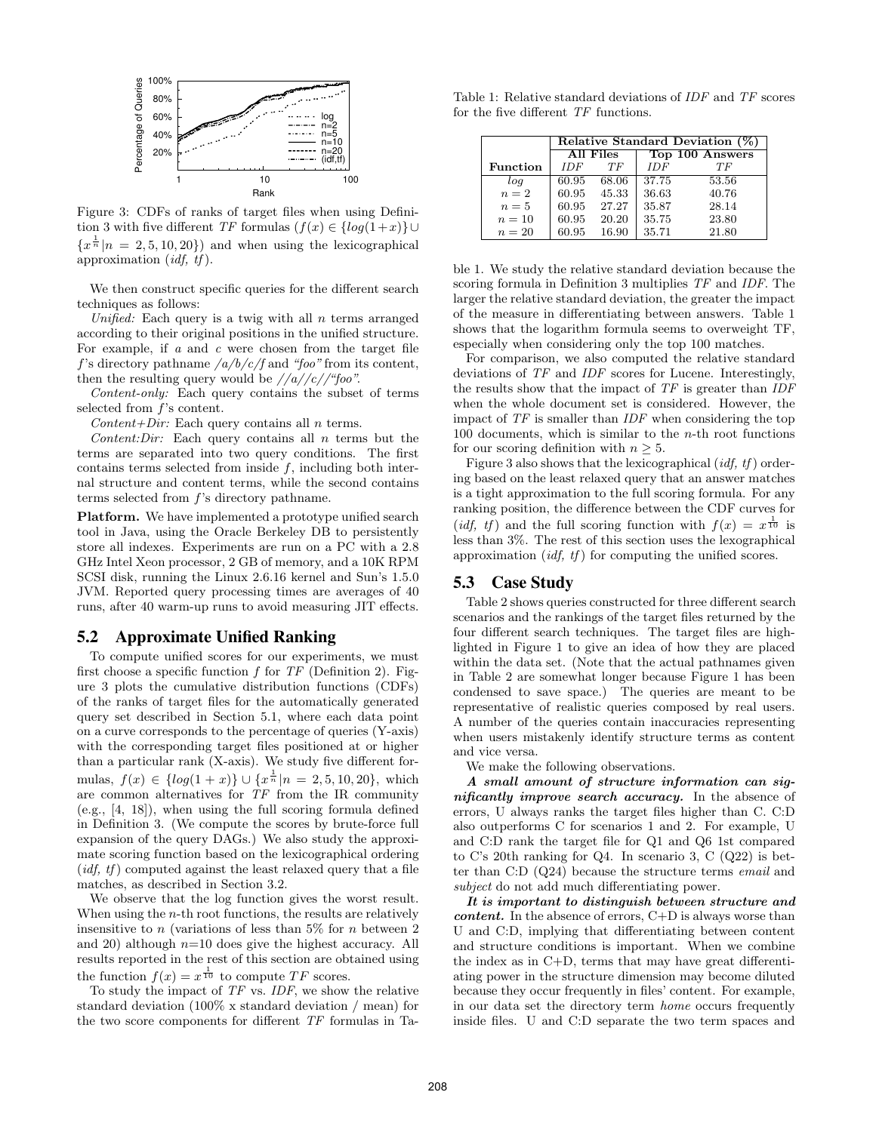

Figure 3: CDFs of ranks of target files when using Definition 3 with five different TF formulas  $(f(x) \in \{log(1+x)\} \cup$  ${x^{\frac{1}{n}}|n = 2, 5, 10, 20}$  and when using the lexicographical approximation  $(idf, tf)$ .

We then construct specific queries for the different search techniques as follows:

Unified: Each query is a twig with all  $n$  terms arranged according to their original positions in the unified structure. For example, if  $a$  and  $c$  were chosen from the target file f's directory pathname  $\frac{a}{b}/\frac{c}{f}$  and "foo" from its content, then the resulting query would be  $//a//c//``foo".$ 

Content-only: Each query contains the subset of terms selected from f's content.

 $Content+Dir:$  Each query contains all n terms.

Content: Dir: Each query contains all  $n$  terms but the terms are separated into two query conditions. The first contains terms selected from inside  $f$ , including both internal structure and content terms, while the second contains terms selected from f's directory pathname.

Platform. We have implemented a prototype unified search tool in Java, using the Oracle Berkeley DB to persistently store all indexes. Experiments are run on a PC with a 2.8 GHz Intel Xeon processor, 2 GB of memory, and a 10K RPM SCSI disk, running the Linux 2.6.16 kernel and Sun's 1.5.0 JVM. Reported query processing times are averages of 40 runs, after 40 warm-up runs to avoid measuring JIT effects.

### 5.2 Approximate Unified Ranking

To compute unified scores for our experiments, we must first choose a specific function  $f$  for  $TF$  (Definition 2). Figure 3 plots the cumulative distribution functions (CDFs) of the ranks of target files for the automatically generated query set described in Section 5.1, where each data point on a curve corresponds to the percentage of queries (Y-axis) with the corresponding target files positioned at or higher than a particular rank (X-axis). We study five different formulas,  $f(x) \in \{log(1+x)\} \cup \{x^{\frac{1}{n}}|n = 2, 5, 10, 20\}$ , which are common alternatives for TF from the IR community (e.g., [4, 18]), when using the full scoring formula defined in Definition 3. (We compute the scores by brute-force full expansion of the query DAGs.) We also study the approximate scoring function based on the lexicographical ordering  $(idf, tf)$  computed against the least relaxed query that a file matches, as described in Section 3.2.

We observe that the log function gives the worst result. When using the  $n$ -th root functions, the results are relatively insensitive to n (variations of less than  $5\%$  for n between 2 and 20) although  $n=10$  does give the highest accuracy. All results reported in the rest of this section are obtained using the function  $f(x) = x^{\frac{1}{10}}$  to compute TF scores.

To study the impact of TF vs. IDF, we show the relative standard deviation (100% x standard deviation / mean) for the two score components for different TF formulas in Ta-

Table 1: Relative standard deviations of IDF and TF scores for the five different TF functions.

|                 | Relative Standard Deviation (%) |       |                 |       |
|-----------------|---------------------------------|-------|-----------------|-------|
|                 | All Files                       |       | Top 100 Answers |       |
| <b>Function</b> | <b>IDF</b>                      | ТF    | <b>IDF</b>      | ТF    |
| log             | 60.95                           | 68.06 | 37.75           | 53.56 |
| $n=2$           | 60.95                           | 45.33 | 36.63           | 40.76 |
| $n=5$           | 60.95                           | 27.27 | 35.87           | 28.14 |
| $n=10$          | 60.95                           | 20.20 | 35.75           | 23.80 |
| $n=20$          | 60.95                           | 16.90 | 35.71           | 21.80 |

ble 1. We study the relative standard deviation because the scoring formula in Definition 3 multiplies TF and IDF. The larger the relative standard deviation, the greater the impact of the measure in differentiating between answers. Table 1 shows that the logarithm formula seems to overweight TF, especially when considering only the top 100 matches.

For comparison, we also computed the relative standard deviations of TF and IDF scores for Lucene. Interestingly, the results show that the impact of TF is greater than IDF when the whole document set is considered. However, the impact of TF is smaller than IDF when considering the top  $100$  documents, which is similar to the *n*-th root functions for our scoring definition with  $n \geq 5$ .

Figure 3 also shows that the lexicographical  $(idf, tf)$  ordering based on the least relaxed query that an answer matches is a tight approximation to the full scoring formula. For any ranking position, the difference between the CDF curves for (*idf, tf*) and the full scoring function with  $f(x) = x^{\frac{1}{10}}$  is less than 3%. The rest of this section uses the lexographical approximation  $(idf, tf)$  for computing the unified scores.

### 5.3 Case Study

Table 2 shows queries constructed for three different search scenarios and the rankings of the target files returned by the four different search techniques. The target files are highlighted in Figure 1 to give an idea of how they are placed within the data set. (Note that the actual pathnames given in Table 2 are somewhat longer because Figure 1 has been condensed to save space.) The queries are meant to be representative of realistic queries composed by real users. A number of the queries contain inaccuracies representing when users mistakenly identify structure terms as content and vice versa.

We make the following observations.

A small amount of structure information can significantly improve search accuracy. In the absence of errors, U always ranks the target files higher than C. C:D also outperforms C for scenarios 1 and 2. For example, U and C:D rank the target file for Q1 and Q6 1st compared to C's 20th ranking for Q4. In scenario 3, C (Q22) is better than C:D (Q24) because the structure terms email and subject do not add much differentiating power.

It is important to distinguish between structure and *content.* In the absence of errors,  $C+D$  is always worse than U and C:D, implying that differentiating between content and structure conditions is important. When we combine the index as in C+D, terms that may have great differentiating power in the structure dimension may become diluted because they occur frequently in files' content. For example, in our data set the directory term home occurs frequently inside files. U and C:D separate the two term spaces and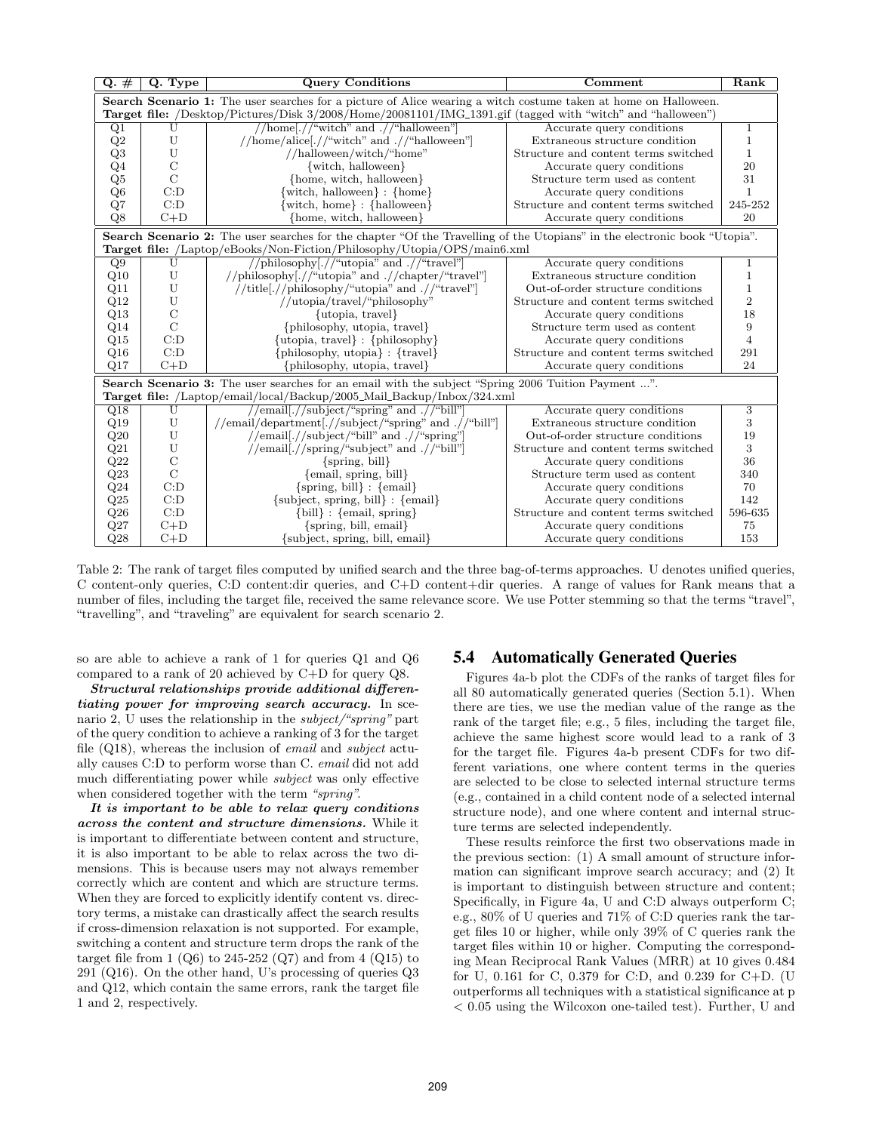| $Q. \#$         | Q. Type                                                                                                                | <b>Query Conditions</b>                                                                                                          | Comment                              | Rank           |  |
|-----------------|------------------------------------------------------------------------------------------------------------------------|----------------------------------------------------------------------------------------------------------------------------------|--------------------------------------|----------------|--|
|                 | <b>Search Scenario 1:</b> The user searches for a picture of Alice wearing a witch costume taken at home on Halloween. |                                                                                                                                  |                                      |                |  |
|                 | Target file: /Desktop/Pictures/Disk 3/2008/Home/20081101/IMG_1391.gif (tagged with "witch" and "halloween")            |                                                                                                                                  |                                      |                |  |
| Q <sub>1</sub>  | U                                                                                                                      | //home[.//"witch" and .//"halloween"]                                                                                            | Accurate query conditions            | 1              |  |
| Q2              | U                                                                                                                      | //home/alice[.//"witch" and .//"halloween"]                                                                                      | Extraneous structure condition       | 1              |  |
| Q3              | U                                                                                                                      | //halloween/witch/"home"                                                                                                         | Structure and content terms switched | 1              |  |
| Q <sub>4</sub>  | С                                                                                                                      | $\{$ witch, halloween $\}$                                                                                                       | Accurate query conditions            | 20             |  |
| Q5              | $\mathcal{C}$                                                                                                          | {home, witch, halloween}                                                                                                         | Structure term used as content       | 31             |  |
| Q <sub>6</sub>  | C:D                                                                                                                    | $\{\text{with, halloween}\}: \{\text{home}\}\$                                                                                   | Accurate query conditions            | $\mathbf{1}$   |  |
| Q7              | C:D                                                                                                                    | [witch, home} : {halloween}                                                                                                      | Structure and content terms switched | 245-252        |  |
| Q8              | $C+D$                                                                                                                  | {home, witch, halloween}                                                                                                         | Accurate query conditions            | 20             |  |
|                 |                                                                                                                        | <b>Search Scenario 2:</b> The user searches for the chapter "Of the Travelling of the Utopians" in the electronic book "Utopia". |                                      |                |  |
|                 |                                                                                                                        | Target file: /Laptop/eBooks/Non-Fiction/Philosophy/Utopia/OPS/main6.xml                                                          |                                      |                |  |
| $\overline{Q9}$ | U                                                                                                                      | //philosophy[.//"utopia" and .//"travel"]                                                                                        | Accurate query conditions            | 1              |  |
| Q10             | U                                                                                                                      | //philosophy[.//"utopia" and .//chapter/"travel"]                                                                                | Extraneous structure condition       | $\mathbf 1$    |  |
| Q11             | U                                                                                                                      | //title[.//philosophy/"utopia" and .//"travel"]                                                                                  | Out-of-order structure conditions    | $\mathbf{1}$   |  |
| Q12             | U                                                                                                                      | //utopia/travel/"philosophy"                                                                                                     | Structure and content terms switched | $\overline{2}$ |  |
| Q13             | $\mathcal{C}$                                                                                                          | {utopia, travel}                                                                                                                 | Accurate query conditions            | 18             |  |
| Q14             | $\rm C$                                                                                                                | {philosophy, utopia, travel}                                                                                                     | Structure term used as content       | 9              |  |
| Q15             | C:D                                                                                                                    | $\{\text{utopia}, \text{travel}\} : \{\text{philosophy}\}\$                                                                      | Accurate query conditions            | $\overline{4}$ |  |
| Q16             | C:D                                                                                                                    | $\{\text{philosophy, utopia}\}$ : $\{\text{travel}\}$                                                                            | Structure and content terms switched | 291            |  |
| Q17             | $C+D$                                                                                                                  | {philosophy, utopia, travel}                                                                                                     | Accurate query conditions            | 24             |  |
|                 | Search Scenario 3: The user searches for an email with the subject "Spring 2006 Tuition Payment ".                     |                                                                                                                                  |                                      |                |  |
|                 |                                                                                                                        | Target file: /Laptop/email/local/Backup/2005_Mail_Backup/Inbox/324.xml                                                           |                                      |                |  |
| Q18             | U                                                                                                                      | //email.//subject/"spring" and .//"bill"                                                                                         | Accurate query conditions            | 3              |  |
| Q19             | U                                                                                                                      | //email/department[.//subject/"spring" and .//"bill"]                                                                            | Extraneous structure condition       | 3              |  |
| Q20             | U                                                                                                                      | //email[.//subject/"bill" and .//"spring"]                                                                                       | Out-of-order structure conditions    | 19             |  |
| Q21             | $\ensuremath{\mathrm{U}}$                                                                                              | //email[.//spring/"subject" and .//"bill"]                                                                                       | Structure and content terms switched | 3              |  |
| $\rm Q22$       | $\overline{C}$                                                                                                         | $\{spring, bill\}$                                                                                                               | Accurate query conditions            | 36             |  |
| Q23             | $\overline{C}$                                                                                                         | ${email, spring, bill}$                                                                                                          | Structure term used as content       | 340            |  |
| Q24             | C:D                                                                                                                    | $\{spring, bill\}$ : $\{email\}$                                                                                                 | Accurate query conditions            | 70             |  |
| Q25             | C:D                                                                                                                    | $\{\text{subject}, \text{spring}, \text{bill}\}$ : $\{\text{email}\}$                                                            | Accurate query conditions            | 142            |  |
| Q26             | C:D                                                                                                                    | ${\text{bill}}$ : {email, spring}                                                                                                | Structure and content terms switched | 596-635        |  |
| Q27             | $C+D$                                                                                                                  | $\{spring, bill, email\}$                                                                                                        | Accurate query conditions            | 75             |  |
| Q28             | $C+D$                                                                                                                  | {subject, spring, bill, email}                                                                                                   | Accurate query conditions            | 153            |  |

Table 2: The rank of target files computed by unified search and the three bag-of-terms approaches. U denotes unified queries, C content-only queries, C:D content:dir queries, and C+D content+dir queries. A range of values for Rank means that a number of files, including the target file, received the same relevance score. We use Potter stemming so that the terms "travel", "travelling", and "traveling" are equivalent for search scenario 2.

so are able to achieve a rank of 1 for queries Q1 and Q6 compared to a rank of 20 achieved by C+D for query Q8.

Structural relationships provide additional differentiating power for improving search accuracy. In scenario 2, U uses the relationship in the subject/"spring" part of the query condition to achieve a ranking of 3 for the target file (Q18), whereas the inclusion of email and subject actually causes C:D to perform worse than C. email did not add much differentiating power while subject was only effective when considered together with the term "spring".

It is important to be able to relax query conditions across the content and structure dimensions. While it is important to differentiate between content and structure, it is also important to be able to relax across the two dimensions. This is because users may not always remember correctly which are content and which are structure terms. When they are forced to explicitly identify content vs. directory terms, a mistake can drastically affect the search results if cross-dimension relaxation is not supported. For example, switching a content and structure term drops the rank of the target file from 1  $(Q6)$  to 245-252  $(Q7)$  and from 4  $(Q15)$  to 291 (Q16). On the other hand, U's processing of queries Q3 and Q12, which contain the same errors, rank the target file 1 and 2, respectively.

### 5.4 Automatically Generated Queries

Figures 4a-b plot the CDFs of the ranks of target files for all 80 automatically generated queries (Section 5.1). When there are ties, we use the median value of the range as the rank of the target file; e.g., 5 files, including the target file, achieve the same highest score would lead to a rank of 3 for the target file. Figures 4a-b present CDFs for two different variations, one where content terms in the queries are selected to be close to selected internal structure terms (e.g., contained in a child content node of a selected internal structure node), and one where content and internal structure terms are selected independently.

These results reinforce the first two observations made in the previous section: (1) A small amount of structure information can significant improve search accuracy; and (2) It is important to distinguish between structure and content; Specifically, in Figure 4a, U and C:D always outperform C; e.g., 80% of U queries and 71% of C:D queries rank the target files 10 or higher, while only 39% of C queries rank the target files within 10 or higher. Computing the corresponding Mean Reciprocal Rank Values (MRR) at 10 gives 0.484 for U, 0.161 for C, 0.379 for C:D, and 0.239 for C+D. (U outperforms all techniques with a statistical significance at p < 0.05 using the Wilcoxon one-tailed test). Further, U and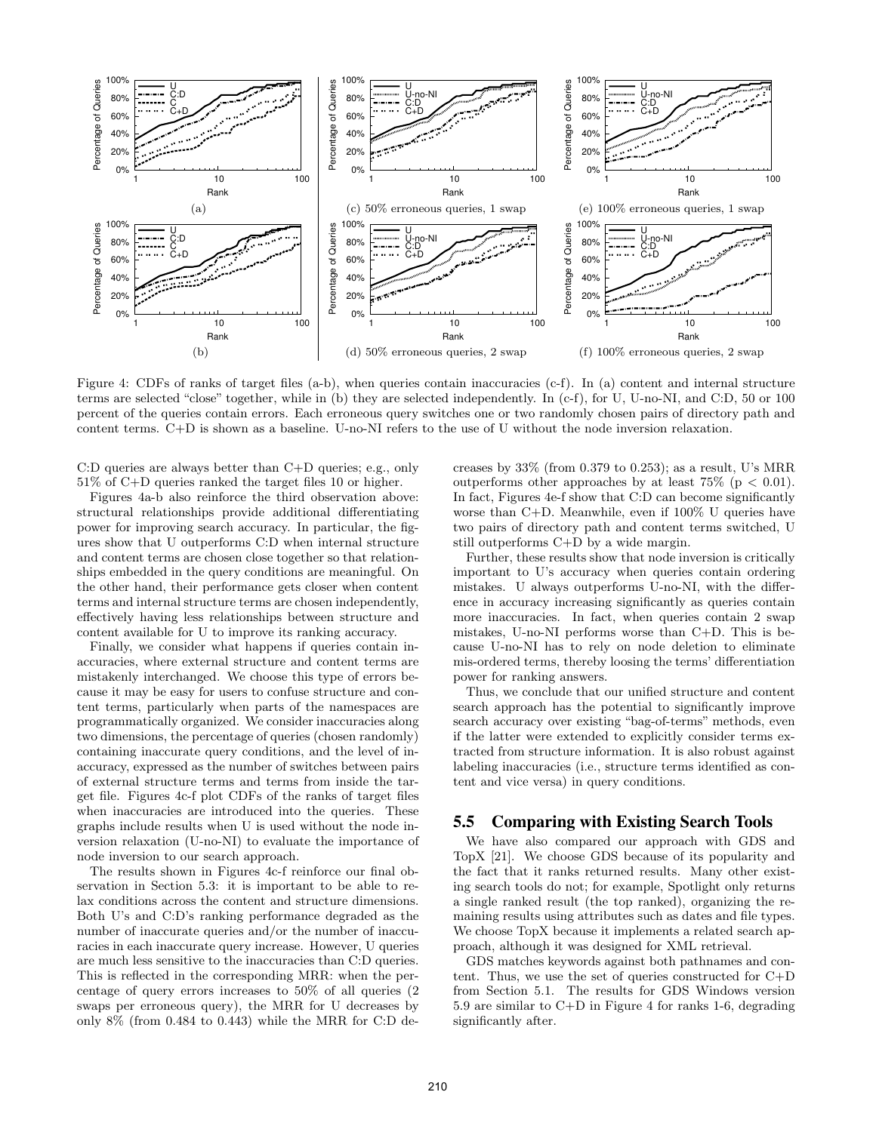

Figure 4: CDFs of ranks of target files (a-b), when queries contain inaccuracies (c-f). In (a) content and internal structure terms are selected "close" together, while in (b) they are selected independently. In (c-f), for U, U-no-NI, and C:D, 50 or 100 percent of the queries contain errors. Each erroneous query switches one or two randomly chosen pairs of directory path and content terms. C+D is shown as a baseline. U-no-NI refers to the use of U without the node inversion relaxation.

C:D queries are always better than C+D queries; e.g., only 51% of C+D queries ranked the target files 10 or higher.

Figures 4a-b also reinforce the third observation above: structural relationships provide additional differentiating power for improving search accuracy. In particular, the figures show that U outperforms C:D when internal structure and content terms are chosen close together so that relationships embedded in the query conditions are meaningful. On the other hand, their performance gets closer when content terms and internal structure terms are chosen independently, effectively having less relationships between structure and content available for U to improve its ranking accuracy.

Finally, we consider what happens if queries contain inaccuracies, where external structure and content terms are mistakenly interchanged. We choose this type of errors because it may be easy for users to confuse structure and content terms, particularly when parts of the namespaces are programmatically organized. We consider inaccuracies along two dimensions, the percentage of queries (chosen randomly) containing inaccurate query conditions, and the level of inaccuracy, expressed as the number of switches between pairs of external structure terms and terms from inside the target file. Figures 4c-f plot CDFs of the ranks of target files when inaccuracies are introduced into the queries. These graphs include results when U is used without the node inversion relaxation (U-no-NI) to evaluate the importance of node inversion to our search approach.

The results shown in Figures 4c-f reinforce our final observation in Section 5.3: it is important to be able to relax conditions across the content and structure dimensions. Both U's and C:D's ranking performance degraded as the number of inaccurate queries and/or the number of inaccuracies in each inaccurate query increase. However, U queries are much less sensitive to the inaccuracies than C:D queries. This is reflected in the corresponding MRR: when the percentage of query errors increases to 50% of all queries (2 swaps per erroneous query), the MRR for U decreases by only 8% (from 0.484 to 0.443) while the MRR for C:D decreases by 33% (from 0.379 to 0.253); as a result, U's MRR outperforms other approaches by at least  $75\%$  (p  $\lt$  0.01). In fact, Figures 4e-f show that C:D can become significantly worse than C+D. Meanwhile, even if 100% U queries have two pairs of directory path and content terms switched, U still outperforms C+D by a wide margin.

Further, these results show that node inversion is critically important to U's accuracy when queries contain ordering mistakes. U always outperforms U-no-NI, with the difference in accuracy increasing significantly as queries contain more inaccuracies. In fact, when queries contain 2 swap mistakes, U-no-NI performs worse than C+D. This is because U-no-NI has to rely on node deletion to eliminate mis-ordered terms, thereby loosing the terms' differentiation power for ranking answers.

Thus, we conclude that our unified structure and content search approach has the potential to significantly improve search accuracy over existing "bag-of-terms" methods, even if the latter were extended to explicitly consider terms extracted from structure information. It is also robust against labeling inaccuracies (i.e., structure terms identified as content and vice versa) in query conditions.

### 5.5 Comparing with Existing Search Tools

We have also compared our approach with GDS and TopX [21]. We choose GDS because of its popularity and the fact that it ranks returned results. Many other existing search tools do not; for example, Spotlight only returns a single ranked result (the top ranked), organizing the remaining results using attributes such as dates and file types. We choose TopX because it implements a related search approach, although it was designed for XML retrieval.

GDS matches keywords against both pathnames and content. Thus, we use the set of queries constructed for C+D from Section 5.1. The results for GDS Windows version 5.9 are similar to C+D in Figure 4 for ranks 1-6, degrading significantly after.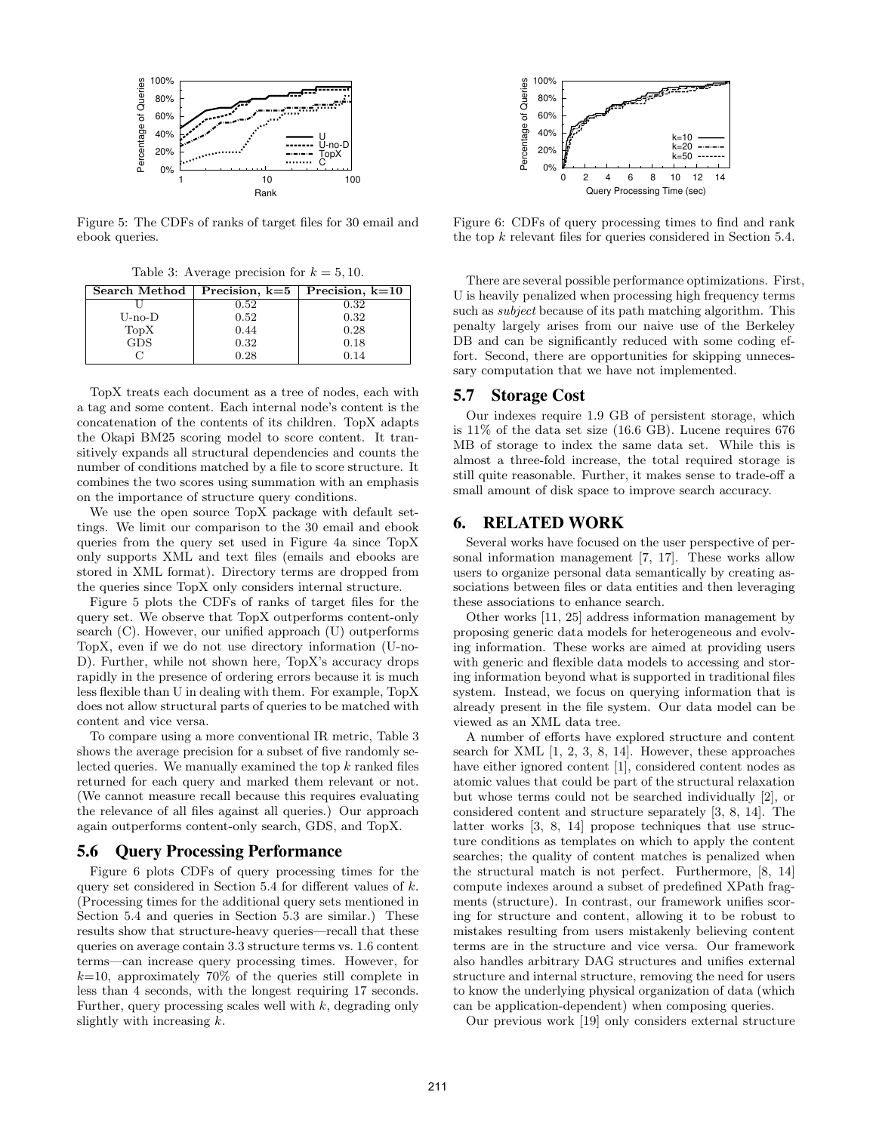

Figure 5: The CDFs of ranks of target files for 30 email and ebook queries.

Table 3: Average precision for  $k = 5, 10$ .

| Search Method | Precision, $k=5$ | Precision, $k=10$ |
|---------------|------------------|-------------------|
|               | 0.52             | 0.32              |
| U-no-D        | 0.52             | 0.32              |
| TopX          | 0.44             | 0.28              |
| <b>GDS</b>    | 0.32             | 0.18              |
|               | 0.28             | 0.14              |

TopX treats each document as a tree of nodes, each with a tag and some content. Each internal node's content is the concatenation of the contents of its children. TopX adapts the Okapi BM25 scoring model to score content. It transitively expands all structural dependencies and counts the number of conditions matched by a file to score structure. It combines the two scores using summation with an emphasis on the importance of structure query conditions.

We use the open source TopX package with default settings. We limit our comparison to the 30 email and ebook queries from the query set used in Figure 4a since TopX only supports XML and text files (emails and ebooks are stored in XML format). Directory terms are dropped from the queries since TopX only considers internal structure.

Figure 5 plots the CDFs of ranks of target files for the query set. We observe that TopX outperforms content-only search (C). However, our unified approach (U) outperforms TopX, even if we do not use directory information (U-no-D). Further, while not shown here, TopX's accuracy drops rapidly in the presence of ordering errors because it is much less flexible than U in dealing with them. For example, TopX does not allow structural parts of queries to be matched with content and vice versa.

To compare using a more conventional IR metric, Table 3 shows the average precision for a subset of five randomly selected queries. We manually examined the top  $k$  ranked files returned for each query and marked them relevant or not. (We cannot measure recall because this requires evaluating the relevance of all files against all queries.) Our approach again outperforms content-only search, GDS, and TopX.

#### 5.6 Query Processing Performance

Figure 6 plots CDFs of query processing times for the query set considered in Section 5.4 for different values of  $k$ . (Processing times for the additional query sets mentioned in Section 5.4 and queries in Section 5.3 are similar.) These results show that structure-heavy queries—recall that these queries on average contain 3.3 structure terms vs. 1.6 content terms—can increase query processing times. However, for  $k=10$ , approximately 70% of the queries still complete in less than 4 seconds, with the longest requiring 17 seconds. Further, query processing scales well with  $k$ , degrading only slightly with increasing  $k$ .



Figure 6: CDFs of query processing times to find and rank the top k relevant files for queries considered in Section 5.4.

There are several possible performance optimizations. First, U is heavily penalized when processing high frequency terms such as subject because of its path matching algorithm. This penalty largely arises from our naive use of the Berkeley DB and can be significantly reduced with some coding effort. Second, there are opportunities for skipping unnecessary computation that we have not implemented.

#### 5.7 Storage Cost

Our indexes require 1.9 GB of persistent storage, which is 11% of the data set size (16.6 GB). Lucene requires 676 MB of storage to index the same data set. While this is almost a three-fold increase, the total required storage is still quite reasonable. Further, it makes sense to trade-off a small amount of disk space to improve search accuracy.

### 6. RELATED WORK

Several works have focused on the user perspective of personal information management [7, 17]. These works allow users to organize personal data semantically by creating associations between files or data entities and then leveraging these associations to enhance search.

Other works [11, 25] address information management by proposing generic data models for heterogeneous and evolving information. These works are aimed at providing users with generic and flexible data models to accessing and storing information beyond what is supported in traditional files system. Instead, we focus on querying information that is already present in the file system. Our data model can be viewed as an XML data tree.

A number of efforts have explored structure and content search for XML [1, 2, 3, 8, 14]. However, these approaches have either ignored content [1], considered content nodes as atomic values that could be part of the structural relaxation but whose terms could not be searched individually [2], or considered content and structure separately [3, 8, 14]. The latter works [3, 8, 14] propose techniques that use structure conditions as templates on which to apply the content searches; the quality of content matches is penalized when the structural match is not perfect. Furthermore, [8, 14] compute indexes around a subset of predefined XPath fragments (structure). In contrast, our framework unifies scoring for structure and content, allowing it to be robust to mistakes resulting from users mistakenly believing content terms are in the structure and vice versa. Our framework also handles arbitrary DAG structures and unifies external structure and internal structure, removing the need for users to know the underlying physical organization of data (which can be application-dependent) when composing queries.

Our previous work [19] only considers external structure